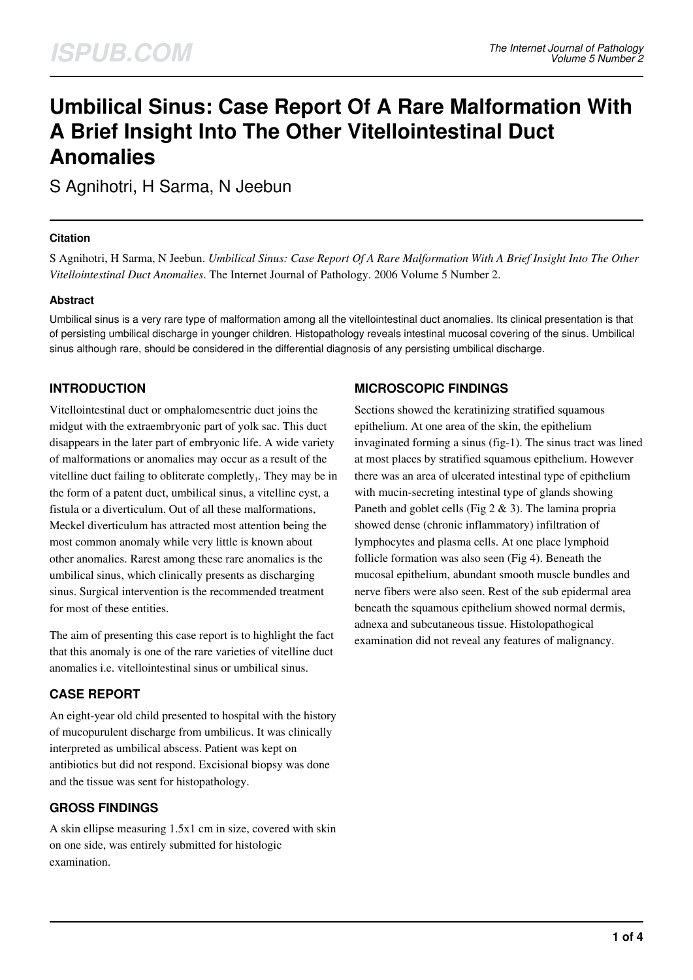# **Umbilical Sinus: Case Report Of A Rare Malformation With A Brief Insight Into The Other Vitellointestinal Duct Anomalies**

S Agnihotri, H Sarma, N Jeebun

#### **Citation**

S Agnihotri, H Sarma, N Jeebun. *Umbilical Sinus: Case Report Of A Rare Malformation With A Brief Insight Into The Other Vitellointestinal Duct Anomalies*. The Internet Journal of Pathology. 2006 Volume 5 Number 2.

#### **Abstract**

Umbilical sinus is a very rare type of malformation among all the vitellointestinal duct anomalies. Its clinical presentation is that of persisting umbilical discharge in younger children. Histopathology reveals intestinal mucosal covering of the sinus. Umbilical sinus although rare, should be considered in the differential diagnosis of any persisting umbilical discharge.

# **INTRODUCTION**

Vitellointestinal duct or omphalomesentric duct joins the midgut with the extraembryonic part of yolk sac. This duct disappears in the later part of embryonic life. A wide variety of malformations or anomalies may occur as a result of the vitelline duct failing to obliterate completly $_1$ . They may be in the form of a patent duct, umbilical sinus, a vitelline cyst, a fistula or a diverticulum. Out of all these malformations, Meckel diverticulum has attracted most attention being the most common anomaly while very little is known about other anomalies. Rarest among these rare anomalies is the umbilical sinus, which clinically presents as discharging sinus. Surgical intervention is the recommended treatment for most of these entities.

The aim of presenting this case report is to highlight the fact that this anomaly is one of the rare varieties of vitelline duct anomalies i.e. vitellointestinal sinus or umbilical sinus.

## **CASE REPORT**

An eight-year old child presented to hospital with the history of mucopurulent discharge from umbilicus. It was clinically interpreted as umbilical abscess. Patient was kept on antibiotics but did not respond. Excisional biopsy was done and the tissue was sent for histopathology.

## **GROSS FINDINGS**

A skin ellipse measuring 1.5x1 cm in size, covered with skin on one side, was entirely submitted for histologic examination.

## **MICROSCOPIC FINDINGS**

Sections showed the keratinizing stratified squamous epithelium. At one area of the skin, the epithelium invaginated forming a sinus (fig-1). The sinus tract was lined at most places by stratified squamous epithelium. However there was an area of ulcerated intestinal type of epithelium with mucin-secreting intestinal type of glands showing Paneth and goblet cells (Fig 2 & 3). The lamina propria showed dense (chronic inflammatory) infiltration of lymphocytes and plasma cells. At one place lymphoid follicle formation was also seen (Fig 4). Beneath the mucosal epithelium, abundant smooth muscle bundles and nerve fibers were also seen. Rest of the sub epidermal area beneath the squamous epithelium showed normal dermis, adnexa and subcutaneous tissue. Histolopathogical examination did not reveal any features of malignancy.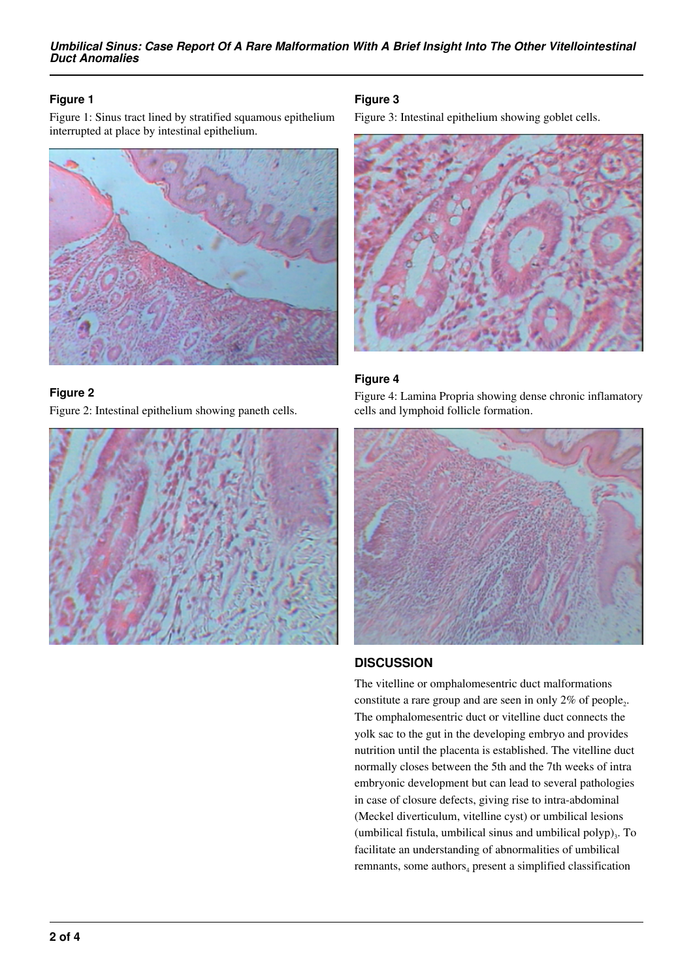#### **Figure 1**

Figure 1: Sinus tract lined by stratified squamous epithelium interrupted at place by intestinal epithelium.



#### **Figure 2**

Figure 2: Intestinal epithelium showing paneth cells.



### **Figure 3**

Figure 3: Intestinal epithelium showing goblet cells.



## **Figure 4**

Figure 4: Lamina Propria showing dense chronic inflamatory cells and lymphoid follicle formation.



## **DISCUSSION**

The vitelline or omphalomesentric duct malformations constitute a rare group and are seen in only  $2\%$  of people<sub>2</sub>. The omphalomesentric duct or vitelline duct connects the yolk sac to the gut in the developing embryo and provides nutrition until the placenta is established. The vitelline duct normally closes between the 5th and the 7th weeks of intra embryonic development but can lead to several pathologies in case of closure defects, giving rise to intra-abdominal (Meckel diverticulum, vitelline cyst) or umbilical lesions (umbilical fistula, umbilical sinus and umbilical polyp) $_3$ . To facilitate an understanding of abnormalities of umbilical remnants, some authors<sub>4</sub> present a simplified classification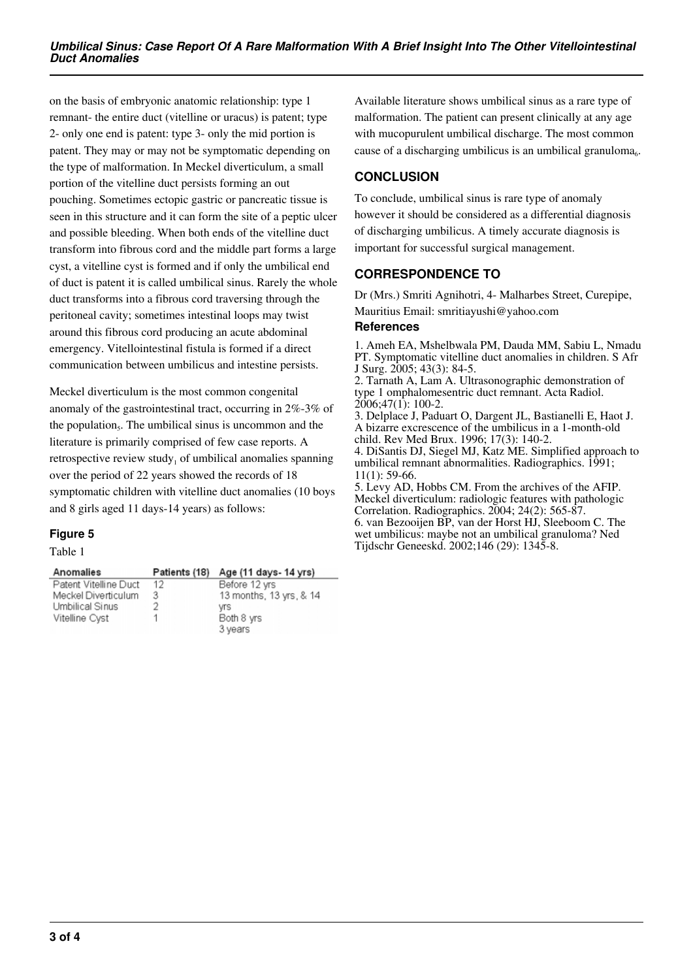on the basis of embryonic anatomic relationship: type 1 remnant- the entire duct (vitelline or uracus) is patent; type 2- only one end is patent: type 3- only the mid portion is patent. They may or may not be symptomatic depending on the type of malformation. In Meckel diverticulum, a small portion of the vitelline duct persists forming an out pouching. Sometimes ectopic gastric or pancreatic tissue is seen in this structure and it can form the site of a peptic ulcer and possible bleeding. When both ends of the vitelline duct transform into fibrous cord and the middle part forms a large cyst, a vitelline cyst is formed and if only the umbilical end of duct is patent it is called umbilical sinus. Rarely the whole duct transforms into a fibrous cord traversing through the peritoneal cavity; sometimes intestinal loops may twist around this fibrous cord producing an acute abdominal emergency. Vitellointestinal fistula is formed if a direct communication between umbilicus and intestine persists.

Meckel diverticulum is the most common congenital anomaly of the gastrointestinal tract, occurring in 2%-3% of the population<sub>5</sub>. The umbilical sinus is uncommon and the literature is primarily comprised of few case reports. A retrospective review study<sub>1</sub> of umbilical anomalies spanning over the period of 22 years showed the records of 18 symptomatic children with vitelline duct anomalies (10 boys and 8 girls aged 11 days-14 years) as follows:

#### **Figure 5**

Table 1

| Anomalies             | Patients (18) | Age (11 days- 14 yrs)   |
|-----------------------|---------------|-------------------------|
| Patent Vitelline Duct | 12            | Before 12 yrs           |
| Meckel Diverticulum   | 3             | 13 months, 13 yrs, & 14 |
| Umbilical Sinus       | 2             | vrs                     |
| Vitelline Cyst        |               | Both 8 yrs              |
|                       |               | 3 years                 |

Available literature shows umbilical sinus as a rare type of malformation. The patient can present clinically at any age with mucopurulent umbilical discharge. The most common cause of a discharging umbilicus is an umbilical granuloma<sub>6</sub>.

## **CONCLUSION**

To conclude, umbilical sinus is rare type of anomaly however it should be considered as a differential diagnosis of discharging umbilicus. A timely accurate diagnosis is important for successful surgical management.

# **CORRESPONDENCE TO**

Dr (Mrs.) Smriti Agnihotri, 4- Malharbes Street, Curepipe, Mauritius Email: smritiayushi@yahoo.com

#### **References**

1. Ameh EA, Mshelbwala PM, Dauda MM, Sabiu L, Nmadu PT. Symptomatic vitelline duct anomalies in children. S Afr J Surg. 2005; 43(3): 84-5.

2. Tarnath A, Lam A. Ultrasonographic demonstration of type 1 omphalomesentric duct remnant. Acta Radiol. 2006;47(1): 100-2.

3. Delplace J, Paduart O, Dargent JL, Bastianelli E, Haot J. A bizarre excrescence of the umbilicus in a 1-month-old child. Rev Med Brux. 1996; 17(3): 140-2. 4. DiSantis DJ, Siegel MJ, Katz ME. Simplified approach to umbilical remnant abnormalities. Radiographics. 1991; 11(1): 59-66.

5. Levy AD, Hobbs CM. From the archives of the AFIP. Meckel diverticulum: radiologic features with pathologic Correlation. Radiographics. 2004; 24(2): 565-87. 6. van Bezooijen BP, van der Horst HJ, Sleeboom C. The wet umbilicus: maybe not an umbilical granuloma? Ned Tijdschr Geneeskd. 2002;146 (29): 1345-8.